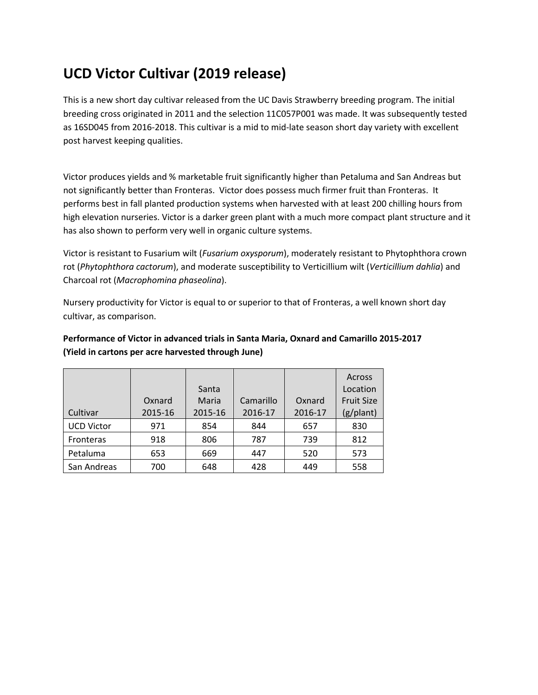## **UCD Victor Cultivar (2019 release)**

This is a new short day cultivar released from the UC Davis Strawberry breeding program. The initial breeding cross originated in 2011 and the selection 11C057P001 was made. It was subsequently tested as 16SD045 from 2016-2018. This cultivar is a mid to mid-late season short day variety with excellent post harvest keeping qualities.

Victor produces yields and % marketable fruit significantly higher than Petaluma and San Andreas but not significantly better than Fronteras. Victor does possess much firmer fruit than Fronteras. It performs best in fall planted production systems when harvested with at least 200 chilling hours from high elevation nurseries. Victor is a darker green plant with a much more compact plant structure and it has also shown to perform very well in organic culture systems.

Victor is resistant to Fusarium wilt (*Fusarium oxysporum*), moderately resistant to Phytophthora crown rot (*Phytophthora cactorum*), and moderate susceptibility to Verticillium wilt (*Verticillium dahlia*) and Charcoal rot (*Macrophomina phaseolina*).

Nursery productivity for Victor is equal to or superior to that of Fronteras, a well known short day cultivar, as comparison.

|                   |         |         |           |         | Across            |
|-------------------|---------|---------|-----------|---------|-------------------|
|                   |         | Santa   |           |         | Location          |
|                   | Oxnard  | Maria   | Camarillo | Oxnard  | <b>Fruit Size</b> |
| Cultivar          | 2015-16 | 2015-16 | 2016-17   | 2016-17 | (g/plant)         |
| <b>UCD Victor</b> | 971     | 854     | 844       | 657     | 830               |
| Fronteras         | 918     | 806     | 787       | 739     | 812               |
| Petaluma          | 653     | 669     | 447       | 520     | 573               |
| San Andreas       | 700     | 648     | 428       | 449     | 558               |

## **Performance of Victor in advanced trials in Santa Maria, Oxnard and Camarillo 2015-2017 (Yield in cartons per acre harvested through June)**